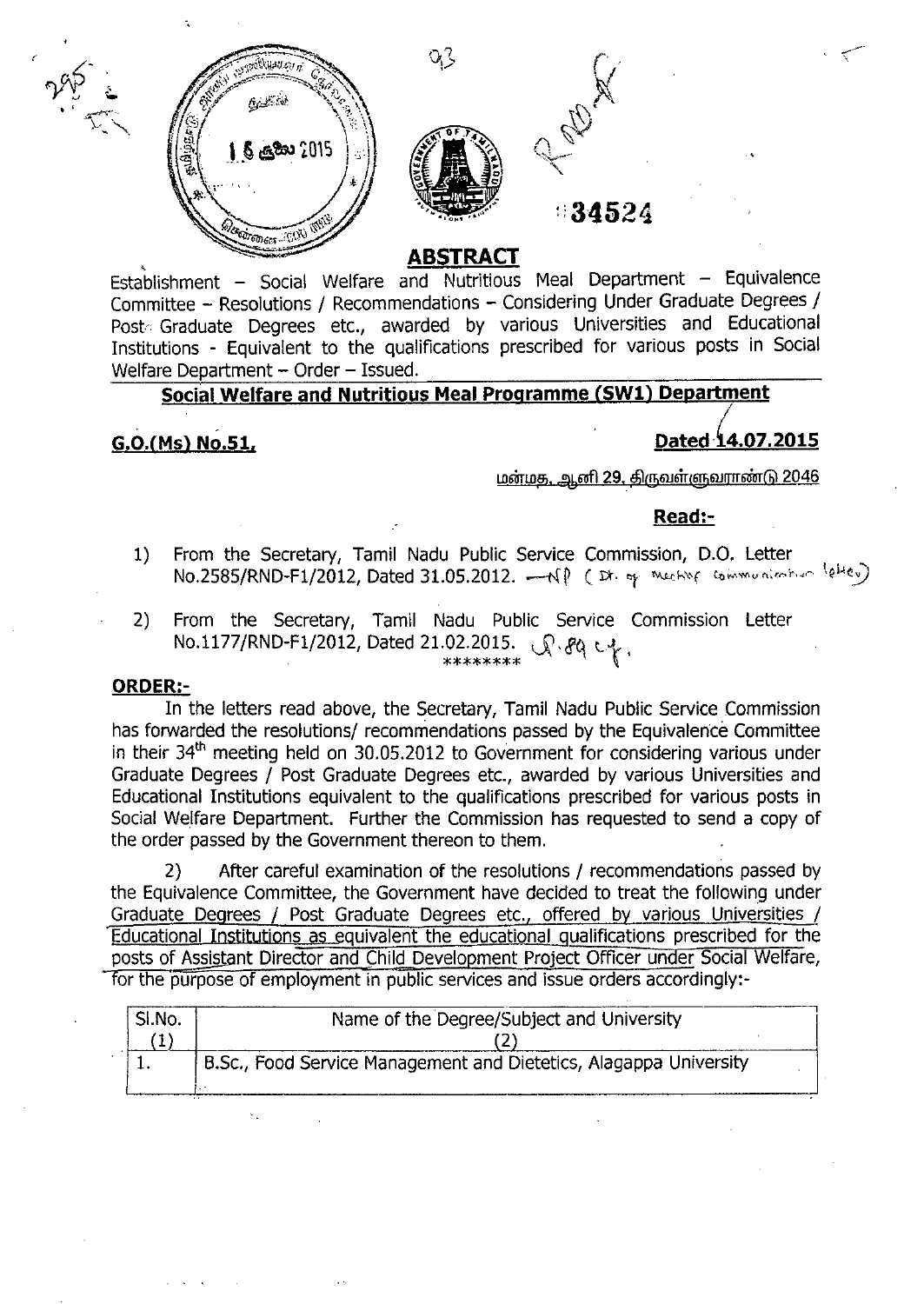



Establishment – Social Welfare and Nutritious Meal Department – Equivalence Committee - Resolutions / Recommendations - Considering Under Graduate Degrees *j* Post, Graduate Degrees etc., awarded by various Universities and Educational Institutions - Equivalent to the qualifications prescribed for various posts in Social Welfare Department - Order - Issued.

# **Social Welfare and Nutritious Meal Programme (SW1) Department**

# **G.O.**(Ms) No.51, **Dated 14.07.2015**

மன்மத, ஆனி 29, திருவள்ளுவராண்டு 2046

# **Read:-**

- 1) From the Secretary, Tamil Nadu Public Service Commission, D.O. Letter No.2585/RND-F1/2012, Dated 31.05.2012.  $-\mathcal{N}$ P ( $\vec{x}$  of *Meching communication*  $\langle e^{\mu}e_{\nu}\rangle$
- 2) From the Secretary, Tamil Nadu Public Service Commission Letter NO.1177jRND-F1j2012, Dated 21.02.2015. J;l,<fq t,{... .  $*****************$   $\begin{bmatrix} 1 & 1 \\ 1 & 1 \end{bmatrix}$

## **ORDER:-**

In the letters read above, the Secretary, Tamil Nadu Public Service Commission has forwarded the resolutions/ recommendations passed by the Equivalence Committee in their  $34<sup>th</sup>$  meeting held on  $30.05.2012$  to Government for considering various under Graduate Degrees *j* Post Graduate Degrees etc., awarded by various Universities and Educational Institutions equivalent to the qualifications prescribed for various posts in Social Welfare Department. Further the Commission has requested to send a copy of the order passed by the Government thereon to them.

2) After careful examination of the resolutions / recommendations passed by the Equivalence Committee, the Government have decided to treat the following under Graduate Degrees / Post Graduate Degrees etc., offered by various Universities / Educational Institutions as equivalent the educational gualifications prescribed for the posts of Assistant Director and Child Development Project Officer under Social Welfare, -for the purpose of employment in public services and issue orders accordingly:-

| SI.No. | Name of the Degree/Subject and University                         |
|--------|-------------------------------------------------------------------|
|        |                                                                   |
|        | B.Sc., Food Service Management and Dietetics, Alagappa University |
|        |                                                                   |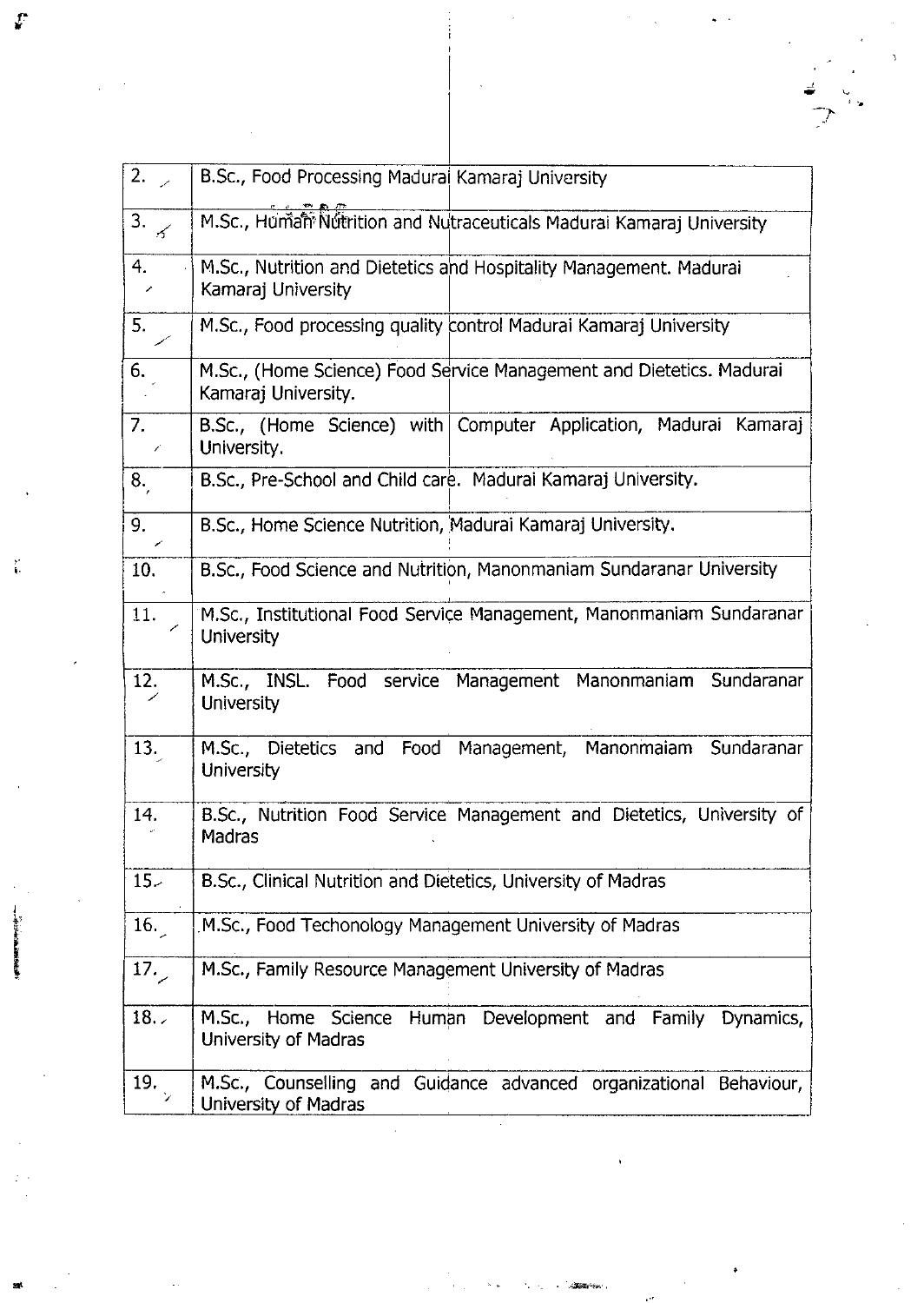| 2.7                              | B.Sc., Food Processing Madural Kamaraj University                                           |
|----------------------------------|---------------------------------------------------------------------------------------------|
| 3.<br>$\boldsymbol{\mathscr{F}}$ | M.Sc., Human Nutrition and Nutraceuticals Madural Kamaraj University                        |
| 4.<br>╱                          | M.Sc., Nutrition and Dietetics and Hospitality Management. Madurai<br>Kamaraj University    |
| 5.                               | M.Sc., Food processing quality control Madurai Kamaraj University                           |
| 6.                               | M.Sc., (Home Science) Food Service Management and Dietetics. Madurai<br>Kamaraj University. |
| 7 <sub>1</sub><br>Î.             | B.Sc., (Home Science) with Computer Application, Madurai Kamaraj<br>University.             |
| 8.                               | B.Sc., Pre-School and Child care. Madurai Kamaraj University.                               |
| 9.                               | B.Sc., Home Science Nutrition, Madurai Kamaraj University.                                  |
| 10.                              | B.Sc., Food Science and Nutrition, Manonmaniam Sundaranar University                        |
| 11.                              | M.Sc., Institutional Food Service Management, Manonmaniam Sundaranar<br><b>University</b>   |
| 12.                              | M.Sc., INSL. Food service Management Manonmaniam<br>Sundaranar<br><b>University</b>         |
| 13.                              | M.Sc., Dietetics and Food Management,<br>Manonmaiam Sundaranar<br><b>University</b>         |
| 14.                              | B.Sc., Nutrition Food Service Management and Dietetics, University of<br>Madras             |
| $15-$                            | B.Sc., Clinical Nutrition and Dietetics, University of Madras                               |
| 16.                              | M.Sc., Food Techonology Management University of Madras                                     |
| 17.                              | M.Sc., Family Resource Management University of Madras                                      |
| 18.7                             | M.Sc., Home Science Human Development and Family<br>Dynamics,<br>University of Madras       |
| 19.                              | M.Sc., Counselling and Guidance advanced organizational Behaviour,<br>University of Madras  |

 $\frac{1}{2}$  ,  $\frac{1}{2}$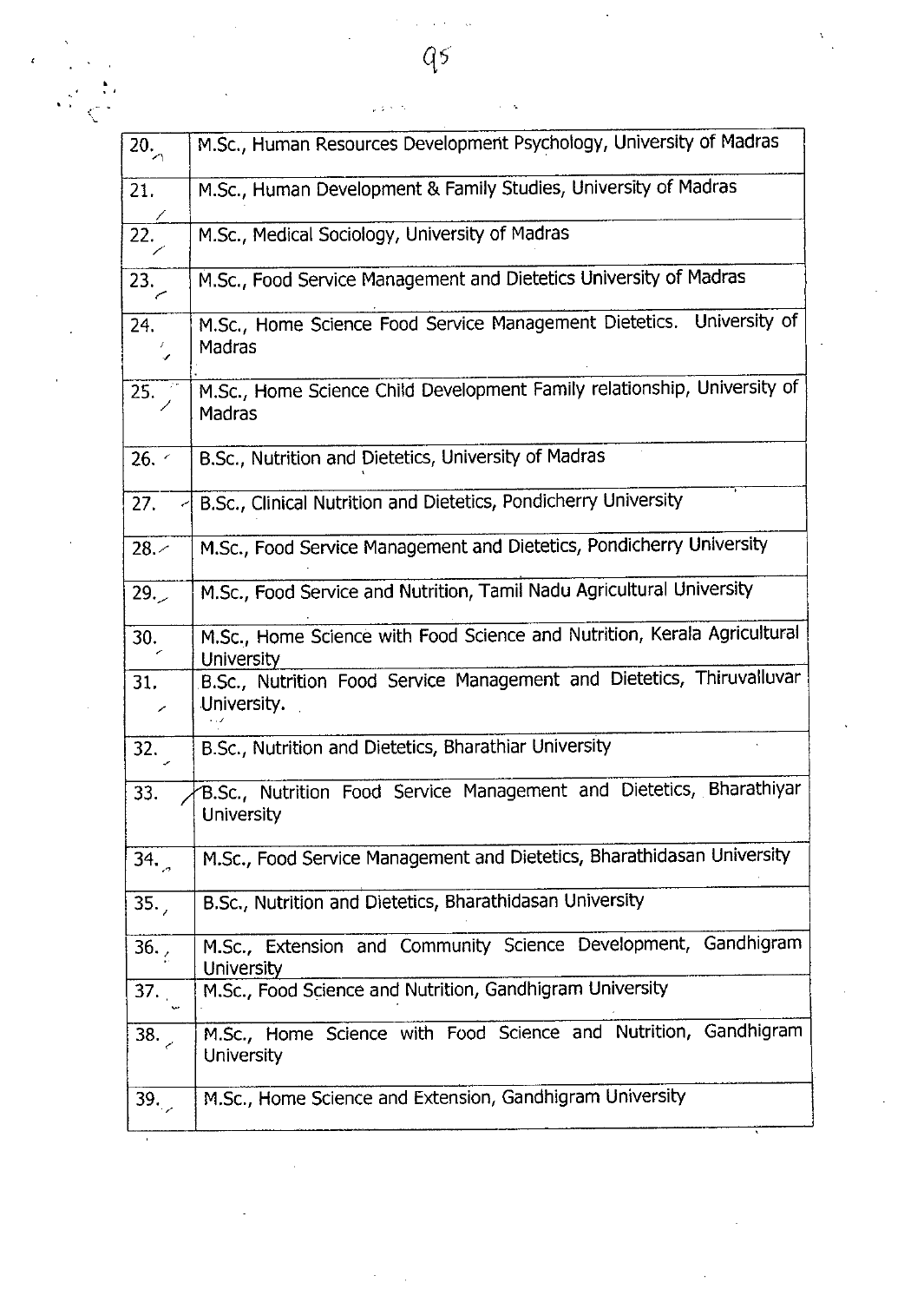| $\overline{20}$   | M.Sc., Human Resources Development Psychology, University of Madras                      |
|-------------------|------------------------------------------------------------------------------------------|
| $\overline{21}$ . | M.Sc., Human Development & Family Studies, University of Madras                          |
| $\overline{22}$ . | M.Sc., Medical Sociology, University of Madras                                           |
| $\overline{23}$ . | M.Sc., Food Service Management and Dietetics University of Madras                        |
| 24.               | M.Sc., Home Science Food Service Management Dietetics. University of<br>Madras           |
| 25.               | M.Sc., Home Science Child Development Family relationship, University of<br>Madras       |
| 26.               | B.Sc., Nutrition and Dietetics, University of Madras                                     |
| 27.<br>K          | B.Sc., Clinical Nutrition and Dietetics, Pondicherry University                          |
| 28.4              | M.Sc., Food Service Management and Dietetics, Pondicherry University                     |
| 29.7              | M.Sc., Food Service and Nutrition, Tamil Nadu Agricultural University                    |
| 30.               | M.Sc., Home Science with Food Science and Nutrition, Kerala Agricultural                 |
|                   | University                                                                               |
| 31.               | B.Sc., Nutrition Food Service Management and Dietetics, Thiruvalluvar<br>University.     |
| 32.               | B.Sc., Nutrition and Dietetics, Bharathiar University                                    |
| 33.               | B.Sc., Nutrition Food Service Management and Dietetics, Bharathiyar<br><b>University</b> |
| 34.               | M.Sc., Food Service Management and Dietetics, Bharathidasan University                   |
| 35.7              | B.Sc., Nutrition and Dietetics, Bharathidasan University                                 |
| 36.7              | M.Sc., Extension and Community Science Development, Gandhigram<br><b>University</b>      |
| 37.               | M.Sc., Food Science and Nutrition, Gandhigram University                                 |
| 38.               | M.Sc., Home Science with Food Science and Nutrition, Gandhigram<br><b>University</b>     |

 $q<sub>5</sub>$ 

 $\ddot{\phantom{a}}$ 

 $\frac{1}{2}$  is  $\frac{1}{2}$  .

, .. .• .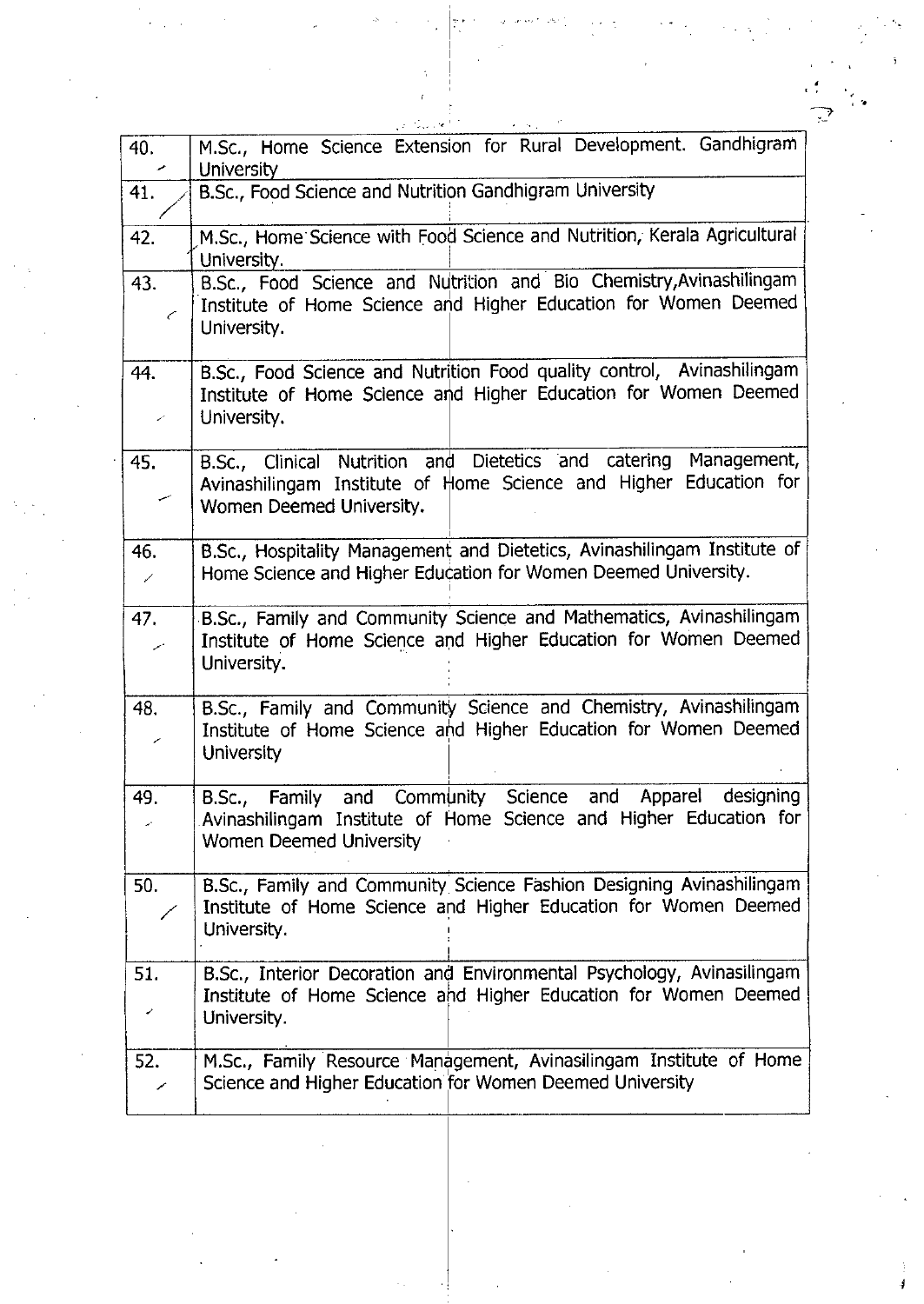|                            | المعارض والمتحال                                                                                                                                                                |
|----------------------------|---------------------------------------------------------------------------------------------------------------------------------------------------------------------------------|
| 40.<br>مر                  | M.Sc., Home Science Extension for Rural Development. Gandhigram<br><b>University</b>                                                                                            |
| 41.                        | B.Sc., Food Science and Nutrition Gandhigram University                                                                                                                         |
| 42.                        | M.Sc., Home Science with Food Science and Nutrition, Kerala Agricultural<br>University.                                                                                         |
| 43.<br>←                   | B.Sc., Food Science and Nutrition and Bio Chemistry, Avinashilingam<br>Institute of Home Science and Higher Education for Women Deemed<br>University.                           |
| 44.<br>$\epsilon^{\prime}$ | B.Sc., Food Science and Nutrition Food quality control, Avinashilingam<br>Institute of Home Science and Higher Education for Women Deemed<br>University.                        |
| 45.<br>سمعب                | B.Sc., Clinical Nutrition and Dietetics and catering Management,<br>Avinashilingam Institute of Home Science and Higher Education for<br>Women Deemed University.               |
| 46.<br>╱                   | B.Sc., Hospitality Management and Dietetics, Avinashilingam Institute of<br>Home Science and Higher Education for Women Deemed University.                                      |
| 47.<br>سمر                 | B.Sc., Family and Community Science and Mathematics, Avinashilingam<br>Institute of Home Science and Higher Education for Women Deemed<br>University.                           |
| 48.<br>╱                   | B.Sc., Family and Community Science and Chemistry, Avinashilingam<br>Institute of Home Science and Higher Education for Women Deemed<br><b>University</b>                       |
| 49.                        | and Apparel<br>designing<br>Community<br>Science<br>B.Sc., Family<br>and<br>Avinashilingam Institute of Home Science and Higher Education for<br><b>Women Deemed University</b> |
| 50.                        | B.Sc., Family and Community Science Fashion Designing Avinashilingam<br>Institute of Home Science and Higher Education for Women Deemed<br>University.                          |
| 51.<br>↙                   | B.Sc., Interior Decoration and Environmental Psychology, Avinasilingam<br>Institute of Home Science and Higher Education for Women Deemed<br>University.                        |
| 52.                        | M.Sc., Family Resource Management, Avinasilingam Institute of Home<br>Science and Higher Education for Women Deemed University                                                  |
|                            |                                                                                                                                                                                 |
|                            |                                                                                                                                                                                 |
|                            |                                                                                                                                                                                 |
|                            |                                                                                                                                                                                 |

,-" .

 $\rightarrow$  .  $\rightarrow$  .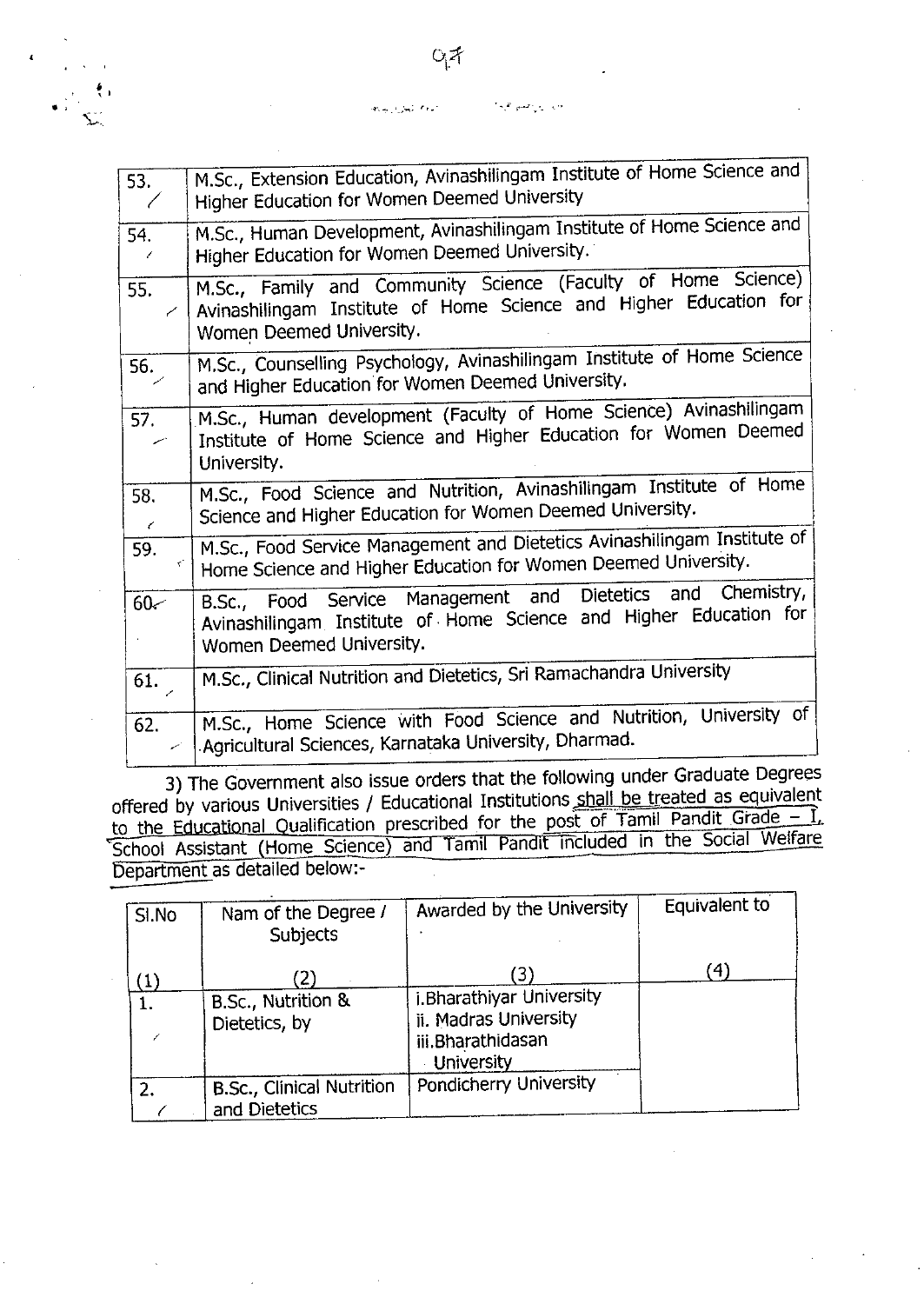وأرباب والمسواط بالأ .<br>المعالم اليمانية <sub>ال</sub>مجال M.5c., Extension Education, Avinashilingam Institute of Home Science and

., .

•,,

 $\tilde{\mathbf{L}}$ 

| 53.<br>$\overline{\phantom{a}}$ | M.Sc., Extension Education, Avinashilingam Institute of Home Science and<br>Higher Education for Women Deemed University                                       |  |  |
|---------------------------------|----------------------------------------------------------------------------------------------------------------------------------------------------------------|--|--|
| 54.<br>7                        | M.Sc., Human Development, Avinashilingam Institute of Home Science and<br>Higher Education for Women Deemed University.                                        |  |  |
| 55.<br>╱                        | M.Sc., Family and Community Science (Faculty of Home Science)<br>Avinashilingam Institute of Home Science and Higher Education for<br>Women Deemed University. |  |  |
| 56.                             | M.Sc., Counselling Psychology, Avinashilingam Institute of Home Science<br>and Higher Education for Women Deemed University.                                   |  |  |
| 57.                             | M.Sc., Human development (Faculty of Home Science) Avinashilingam<br>Institute of Home Science and Higher Education for Women Deemed<br>University.            |  |  |
| 58.<br>$\epsilon$               | M.Sc., Food Science and Nutrition, Avinashilingam Institute of Home<br>Science and Higher Education for Women Deemed University.                               |  |  |
| 59.                             | M.Sc., Food Service Management and Dietetics Avinashilingam Institute of<br>Home Science and Higher Education for Women Deemed University.                     |  |  |
| $60 -$                          | B.Sc., Food Service Management and Dietetics and Chemistry,<br>Avinashilingam Institute of Home Science and Higher Education for<br>Women Deemed University.   |  |  |
| 61.                             | M.Sc., Clinical Nutrition and Dietetics, Sri Ramachandra University                                                                                            |  |  |
| 62.                             | M.Sc., Home Science with Food Science and Nutrition, University of<br>Agricultural Sciences, Karnataka University, Dharmad.                                    |  |  |

3) The Government also issue orders that the following under Graduate Degrees offered by various Universities / Educational Institutions shall be treated as equivalent to the Educational Qualification prescribed for the post of Tamil Pandit Grade -  $1$ , School Assistant (Home Science) and Tamil Pandit Included in the Social Welfare epartment as detailed below:-

| SI.No | Nam of the Degree /<br><b>Subjects</b>     | Awarded by the University                                                                          | Equivalent to |
|-------|--------------------------------------------|----------------------------------------------------------------------------------------------------|---------------|
| 1.    | 2)<br>B.Sc., Nutrition &<br>Dietetics, by  | 3)<br>i. Bharathiyar University<br>ii. Madras University<br>iii.Bharathidasan<br><b>University</b> | 41            |
| 2.    | B.Sc., Clinical Nutrition<br>and Dietetics | Pondicherry University                                                                             |               |

 $O_1$ z $\uparrow$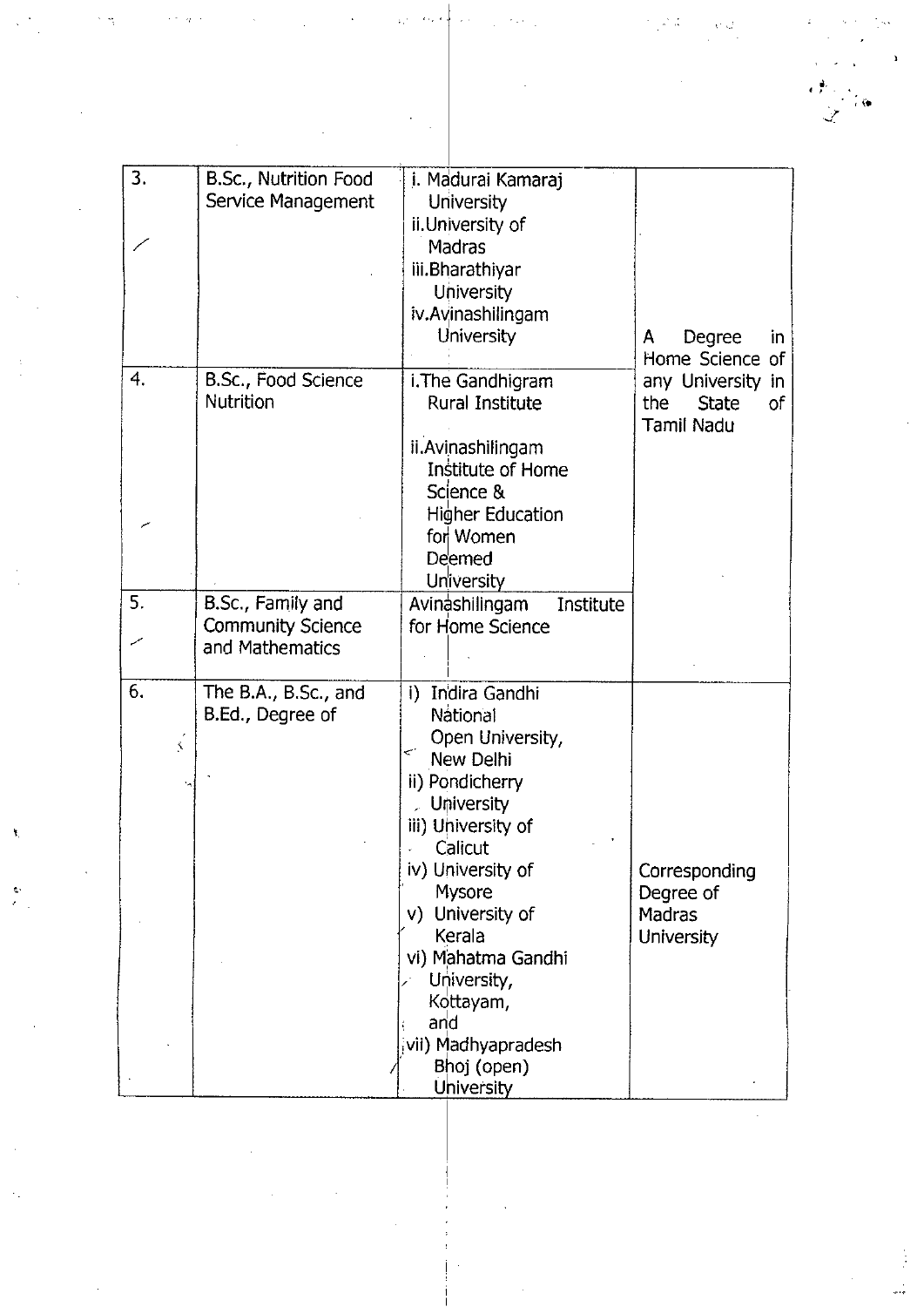3. B.Sc., Nutrition Food i. Madurai Kamaraj Service Management | University ii.University of / **Madras** iii.Bharathiyar University iv.Avinashilingam University  $|A \tD$ egree in Home Science of 4. B.Sc., Food Science | i. The Gandhigram any University in Nutrition | Rural Institute | the State of Tamil Nadu ii.Avinashilingam Institute of Home Science & r'" Higher Education for Women Deemed **University** 5. B.Sc., Family and Avinashilingam<br>
Community Science for Home Science Institute Community Science  $\sim$   $\blacksquare$  and Mathematics 6. The B.A., B.Sc., and i) Indira Gandhi B.Ed., Degree of National  $\begin{bmatrix} 1 & 0 & 0 \\ 0 & 0 & 0 \\ 0 & 0 & 0 \end{bmatrix}$  (See This Path), New Delhi ii) Pondicherry , Uljliversity iii) University of **Calicut** *iv*) University of **Corresponding** Mysore Degree of *v*) University of Madras Kerala | University vi) Mahatma Gandhi University, Kottayam, and ivii) Madhyapradesh *I* Bhoj (open) University

 $\cdots$ 

',' .

.,••

*.... :l*

'"